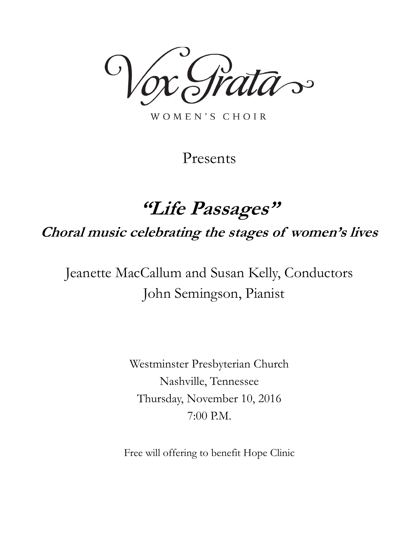das

WOMEN'S CHOIR

Presents

# **"Life Passages"**

**Choral music celebrating the stages of women's lives**

Jeanette MacCallum and Susan Kelly, Conductors John Semingson, Pianist

> Westminster Presbyterian Church Nashville, Tennessee Thursday, November 10, 2016 7:00 P.M.

Free will offering to benefit Hope Clinic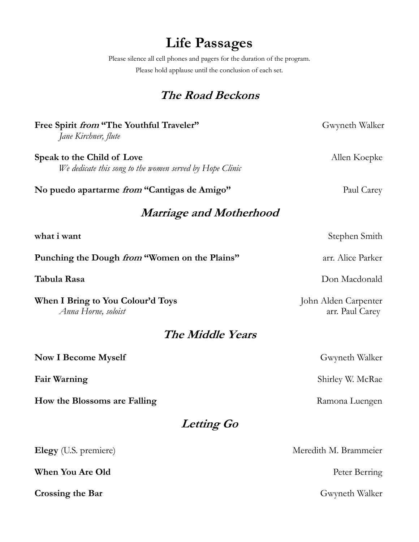# **Life Passages**

Please silence all cell phones and pagers for the duration of the program. Please hold applause until the conclusion of each set.

# **The Road Beckons**

| Free Spirit from "The Youthful Traveler"<br>Jane Kirchner, flute                       | Gwyneth Walker                          |
|----------------------------------------------------------------------------------------|-----------------------------------------|
| Speak to the Child of Love<br>We dedicate this song to the women served by Hope Clinic | Allen Koepke                            |
| No puedo apartarme <i>from</i> "Cantigas de Amigo"                                     | Paul Carey                              |
| <b>Marriage and Motherhood</b>                                                         |                                         |
| what i want                                                                            | Stephen Smith                           |
| Punching the Dough from "Women on the Plains"                                          | arr. Alice Parker                       |
| Tabula Rasa                                                                            | Don Macdonald                           |
| When I Bring to You Colour'd Toys<br>Anna Horne, soloist                               | John Alden Carpenter<br>arr. Paul Carey |
| The Middle Years                                                                       |                                         |
| <b>Now I Become Myself</b>                                                             | Gwyneth Walker                          |
| <b>Fair Warning</b>                                                                    | Shirley W. McRae                        |
| How the Blossoms are Falling                                                           | Ramona Luengen                          |
| Letting Go                                                                             |                                         |
| Elegy (U.S. premiere)                                                                  | Meredith M. Brammeier                   |
| <b>When You Are Old</b>                                                                | Peter Berring                           |
| Crossing the Bar                                                                       | Gwyneth Walker                          |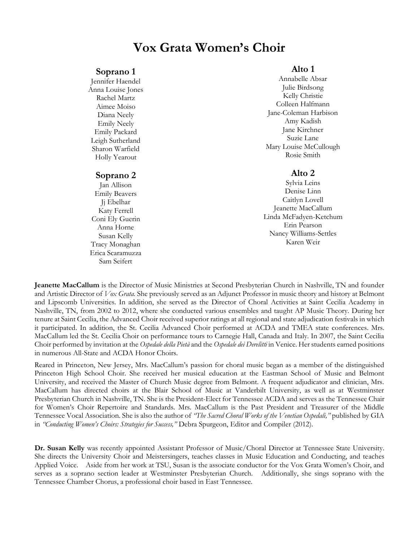# **Vox Grata Women's Choir**

### **Soprano 1**

Jennifer Haendel Anna Louise Jones Rachel Martz Aimee Moiso Diana Neely Emily Neely Emily Packard Leigh Sutherland Sharon Warfield Holly Yearout

### **Soprano 2**

Jan Allison Emily Beavers Jj Ebelhar Katy Ferrell Coni Ely Guerin Anna Horne Susan Kelly Tracy Monaghan Erica Scaramuzza Sam Seifert

## **Alto 1**

Annabelle Absar Julie Birdsong Kelly Christie Colleen Halfmann Jane-Coleman Harbison Amy Kadish Jane Kirchner Suzie Lane Mary Louise McCullough Rosie Smith

## **Alto 2**

Sylvia Leins Denise Linn Caitlyn Lovell Jeanette MacCallum Linda McFadyen-Ketchum Erin Pearson Nancy Williams-Settles Karen Weir

**Jeanette MacCallum** is the Director of Music Ministries at Second Presbyterian Church in Nashville, TN and founder and Artistic Director of *Vox Grata.* She previously served as an Adjunct Professor in music theory and history at Belmont and Lipscomb Universities. In addition, she served as the Director of Choral Activities at Saint Cecilia Academy in Nashville, TN, from 2002 to 2012, where she conducted various ensembles and taught AP Music Theory. During her tenure at Saint Cecilia, the Advanced Choir received superior ratings at all regional and state adjudication festivals in which it participated. In addition, the St. Cecilia Advanced Choir performed at ACDA and TMEA state conferences. Mrs. MacCallum led the St. Cecilia Choir on performance tours to Carnegie Hall, Canada and Italy. In 2007, the Saint Cecilia Choir performed by invitation at the *Ospedale della Pietà* and the *Ospedale dei Derelitti* in Venice. Her students earned positions in numerous All-State and ACDA Honor Choirs.

Reared in Princeton, New Jersey, Mrs. MacCallum's passion for choral music began as a member of the distinguished Princeton High School Choir. She received her musical education at the Eastman School of Music and Belmont University, and received the Master of Church Music degree from Belmont. A frequent adjudicator and clinician, Mrs. MacCallum has directed choirs at the Blair School of Music at Vanderbilt University, as well as at Westminster Presbyterian Church in Nashville, TN. She is the President-Elect for Tennessee ACDA and serves as the Tennessee Chair for Women's Choir Repertoire and Standards. Mrs. MacCallum is the Past President and Treasurer of the Middle Tennessee Vocal Association. She is also the author of *"The Sacred Choral Works of the Venetian Ospedali,"* published by GIA in *"Conducting Women's Choirs: Strategies for Success,"* Debra Spurgeon, Editor and Compiler (2012).

**Dr. Susan Kelly** was recently appointed Assistant Professor of Music/Choral Director at Tennessee State University. She directs the University Choir and Meistersingers, teaches classes in Music Education and Conducting, and teaches Applied Voice. Aside from her work at TSU, Susan is the associate conductor for the Vox Grata Women's Choir, and serves as a soprano section leader at Westminster Presbyterian Church. Additionally, she sings soprano with the Tennessee Chamber Chorus, a professional choir based in East Tennessee.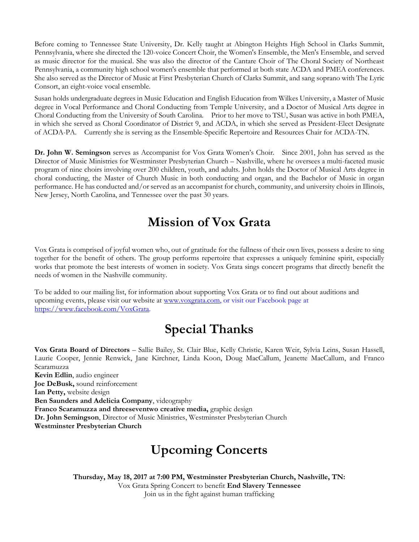Before coming to Tennessee State University, Dr. Kelly taught at Abington Heights High School in Clarks Summit, Pennsylvania, where she directed the 120-voice Concert Choir, the Women's Ensemble, the Men's Ensemble, and served as music director for the musical. She was also the director of the Cantare Choir of The Choral Society of Northeast Pennsylvania, a community high school women's ensemble that performed at both state ACDA and PMEA conferences. She also served as the Director of Music at First Presbyterian Church of Clarks Summit, and sang soprano with The Lyric Consort, an eight-voice vocal ensemble.

Susan holds undergraduate degrees in Music Education and English Education from Wilkes University, a Master of Music degree in Vocal Performance and Choral Conducting from Temple University, and a Doctor of Musical Arts degree in Choral Conducting from the University of South Carolina. Prior to her move to TSU, Susan was active in both PMEA, in which she served as Choral Coordinator of District 9, and ACDA, in which she served as President-Elect Designate of ACDA-PA. Currently she is serving as the Ensemble-Specific Repertoire and Resources Chair for ACDA-TN.

**Dr. John W. Semingson** serves as Accompanist for Vox Grata Women's Choir. Since 2001, John has served as the Director of Music Ministries for Westminster Presbyterian Church – Nashville, where he oversees a multi-faceted music program of nine choirs involving over 200 children, youth, and adults. John holds the Doctor of Musical Arts degree in choral conducting, the Master of Church Music in both conducting and organ, and the Bachelor of Music in organ performance. He has conducted and/or served as an accompanist for church, community, and university choirs in Illinois, New Jersey, North Carolina, and Tennessee over the past 30 years.

# **Mission of Vox Grata**

Vox Grata is comprised of joyful women who, out of gratitude for the fullness of their own lives, possess a desire to sing together for the benefit of others. The group performs repertoire that expresses a uniquely feminine spirit, especially works that promote the best interests of women in society. Vox Grata sings concert programs that directly benefit the needs of women in the Nashville community.

To be added to our mailing list, for information about supporting Vox Grata or to find out about auditions and upcoming events, please visit our website at [www.voxgrata.com,](http://www.voxgrata.com/) or visit our Facebook page at [https://www.facebook.com/VoxGrata.](https://www.facebook.com/VoxGrata)

# **Special Thanks**

**Vox Grata Board of Directors** – Sallie Bailey, St. Clair Blue, Kelly Christie, Karen Weir, Sylvia Leins, Susan Hassell, Laurie Cooper, Jennie Renwick, Jane Kirchner, Linda Koon, Doug MacCallum, Jeanette MacCallum, and Franco Scaramuzza **Kevin Edlin**, audio engineer **Joe DeBusk,** sound reinforcement **Ian Petty,** website design **Ben Saunders and Adelicia Company**, videography **Franco Scaramuzza and threeseventwo creative media,** graphic design **Dr. John Semingson**, Director of Music Ministries, Westminster Presbyterian Church **Westminster Presbyterian Church**

# **Upcoming Concerts**

**Thursday, May 18, 2017 at 7:00 PM, Westminster Presbyterian Church, Nashville, TN:** Vox Grata Spring Concert to benefit **End Slavery Tennessee** Join us in the fight against human trafficking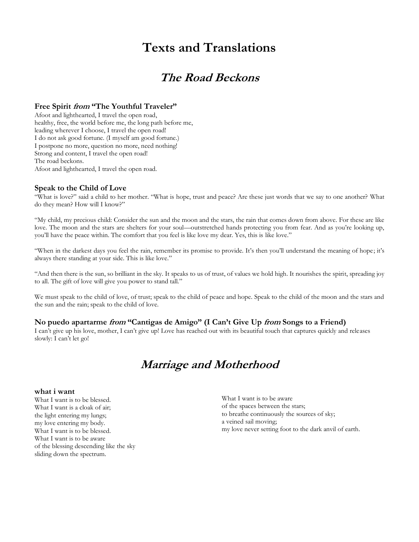# **Texts and Translations**

# **The Road Beckons**

### **Free Spirit from "The Youthful Traveler"**

Afoot and lighthearted, I travel the open road, healthy, free, the world before me, the long path before me, leading wherever I choose, I travel the open road! I do not ask good fortune. (I myself am good fortune.) I postpone no more, question no more, need nothing! Strong and content, I travel the open road! The road beckons. Afoot and lighthearted, I travel the open road.

### **Speak to the Child of Love**

"What is love?" said a child to her mother. "What is hope, trust and peace? Are these just words that we say to one another? What do they mean? How will I know?"

"My child, my precious child: Consider the sun and the moon and the stars, the rain that comes down from above. For these are like love. The moon and the stars are shelters for your soul—outstretched hands protecting you from fear. And as you're looking up, you'll have the peace within. The comfort that you feel is like love my dear. Yes, this is like love."

"When in the darkest days you feel the rain, remember its promise to provide. It's then you'll understand the meaning of hope; it's always there standing at your side. This is like love."

"And then there is the sun, so brilliant in the sky. It speaks to us of trust, of values we hold high. It nourishes the spirit, spreading joy to all. The gift of love will give you power to stand tall."

We must speak to the child of love, of trust; speak to the child of peace and hope. Speak to the child of the moon and the stars and the sun and the rain; speak to the child of love.

## **No puedo apartarme from "Cantigas de Amigo" (I Can't Give Up from Songs to a Friend)**

I can't give up his love, mother, I can't give up! Love has reached out with its beautiful touch that captures quickly and releases slowly: I can't let go!

# **Marriage and Motherhood**

### **what i want**

What I want is to be blessed. What I want is a cloak of air; the light entering my lungs; my love entering my body. What I want is to be blessed. What I want is to be aware of the blessing descending like the sky sliding down the spectrum.

What I want is to be aware of the spaces between the stars; to breathe continuously the sources of sky; a veined sail moving; my love never setting foot to the dark anvil of earth.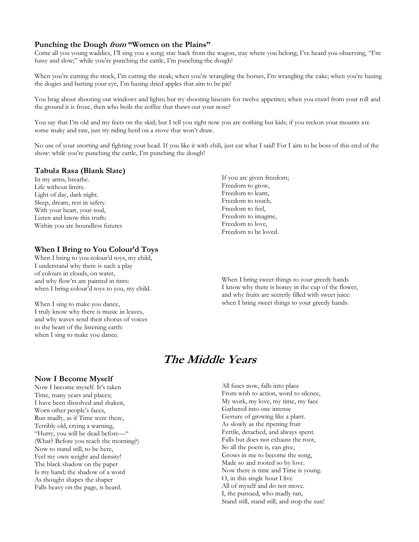### **Punching the Dough from "Women on the Plains"**

Come all you young waddies, I'll sing you a song; stay back from the wagon, stay where you belong; I've heard you observing, "I'm fussy and slow;" while you're punching the cattle, I'm punching the dough!

When you're cutting the stock, I'm cutting the steak; when you're wrangling the horses, I'm wrangling the cake; when you're hazing the dogies and batting your eye, I'm hazing dried apples that aim to be pie!

You brag about shooting out windows and lights; but try shooting biscuits for twelve appetites; when you crawl from your roll and the ground it is froze, then who boils the coffee that thaws out your nose?

You say that I'm old and my feets on the skid; but I tell you right now you are nothing but kids; if you reckon your mounts are some snaky and raw, just try riding herd on a stove that won't draw.

No use of your snorting and fighting your head. If you like it with chili, just eat what I said! For I aim to be boss of this end of the show: while you're punching the cattle, I'm punching the dough!

### **Tabula Rasa (Blank Slate)**

In my arms, breathe. Life without limits. Light of day, dark night. Sleep, dream, rest in safety. With your heart, your soul, Listen and know this truth: Within you are boundless futures

### **When I Bring to You Colour'd Toys**

When I bring to you colour'd toys, my child, I understand why there is such a play of colours in clouds, on water, and why flow'rs are painted in tints: when I bring colour'd toys to you, my child.

When I sing to make you dance, I truly know why there is music in leaves, and why waves send their chorus of voices to the heart of the listening earth: when I sing to make you dance.

If you are given freedom; Freedom to grow, Freedom to learn, Freedom to touch, Freedom to feel, Freedom to imagine, Freedom to love, Freedom to be loved.

When I bring sweet things to your greedy hands I know why there is honey in the cup of the flower, and why fruits are secretly filled with sweet juice: when I bring sweet things to your greedy hands.

# **The Middle Years**

### **Now I Become Myself**

Now I become myself. It's taken Time, many years and places; I have been dissolved and shaken, Worn other people's faces, Run madly, as if Time were there, Terribly old, crying a warning, "Hurry, you will be dead before—" (What? Before you reach the morning?) Now to stand still, to be here, Feel my own weight and density! The black shadow on the paper Is my hand; the shadow of a word As thought shapes the shaper Falls heavy on the page, is heard.

All fuses now, falls into place From wish to action, word to silence, My work, my love, my time, my face Gathered into one intense Gesture of growing like a plant. As slowly as the ripening fruit Fertile, detached, and always spent. Falls but does not exhaust the root, So all the poem is, can give, Grows in me to become the song, Made so and rooted so by love. Now there is time and Time is young. O, in this single hour I live All of myself and do not move. I, the pursued, who madly ran, Stand still, stand still, and stop the sun!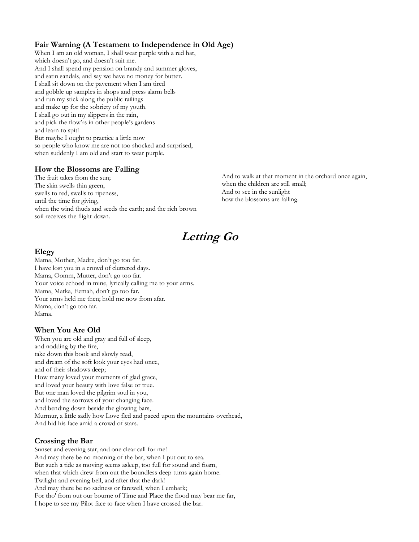# **Fair Warning (A Testament to Independence in Old Age)**

When I am an old woman, I shall wear purple with a red hat, which doesn't go, and doesn't suit me. And I shall spend my pension on brandy and summer gloves, and satin sandals, and say we have no money for butter. I shall sit down on the pavement when I am tired and gobble up samples in shops and press alarm bells and run my stick along the public railings and make up for the sobriety of my youth. I shall go out in my slippers in the rain, and pick the flow'rs in other people's gardens and learn to spit! But maybe I ought to practice a little now so people who know me are not too shocked and surprised, when suddenly I am old and start to wear purple.

## **How the Blossoms are Falling**

The fruit takes from the sun; The skin swells thin green, swells to red, swells to ripeness, until the time for giving, when the wind thuds and seeds the earth; and the rich brown soil receives the flight down.

And to walk at that moment in the orchard once again, when the children are still small; And to see in the sunlight how the blossoms are falling.

# **Letting Go**

## **Elegy**

Mama, Mother, Madre, don't go too far. I have lost you in a crowd of cluttered days. Mama, Oomm, Mutter, don't go too far. Your voice echoed in mine, lyrically calling me to your arms. Mama, Matka, Eemah, don't go too far. Your arms held me then; hold me now from afar. Mama, don't go too far. Mama.

## **When You Are Old**

When you are old and gray and full of sleep, and nodding by the fire, take down this book and slowly read, and dream of the soft look your eyes had once, and of their shadows deep; How many loved your moments of glad grace, and loved your beauty with love false or true. But one man loved the pilgrim soul in you, and loved the sorrows of your changing face. And bending down beside the glowing bars, Murmur, a little sadly how Love fled and paced upon the mountains overhead, And hid his face amid a crowd of stars.

## **Crossing the Bar**

Sunset and evening star, and one clear call for me! And may there be no moaning of the bar, when I put out to sea. But such a tide as moving seems asleep, too full for sound and foam, when that which drew from out the boundless deep turns again home. Twilight and evening bell, and after that the dark! And may there be no sadness or farewell, when I embark; For tho' from out our bourne of Time and Place the flood may bear me far, I hope to see my Pilot face to face when I have crossed the bar.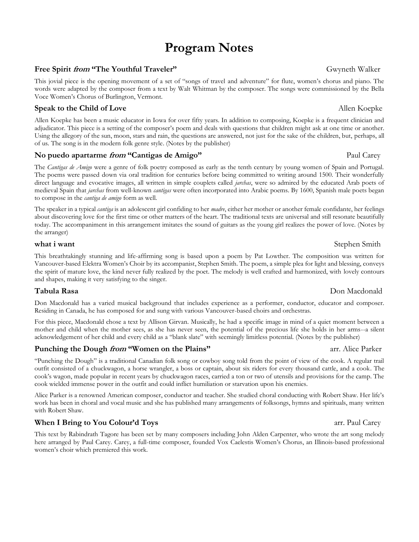# **Program Notes**

# **Free Spirit** *from* **"The Youthful Traveler" 1988 1989 1989 1989 1989 1989 1989 1989 1989 1989 1989 1989 1989 1989 1989 1989 1989 1989 1989 1989 1989 1989 1989 1989 1989 1**

This jovial piece is the opening movement of a set of "songs of travel and adventure" for flute, women's chorus and piano. The words were adapted by the composer from a text by Walt Whitman by the composer. The songs were commissioned by the Bella Voce Women's Chorus of Burlington, Vermont.

# **Speak to the Child of Love Allen Koepke Allen Koepke Allen Koepke Allen Koepke**

Allen Koepke has been a music educator in Iowa for over fifty years. In addition to composing, Koepke is a frequent clinician and adjudicator. This piece is a setting of the composer's poem and deals with questions that children might ask at one time or another. Using the allegory of the sun, moon, stars and rain, the questions are answered, not just for the sake of the children, but, perhaps, all of us. The song is in the modern folk genre style. (Notes by the publisher)

# **No puedo apartarme** *from* **"Cantigas de Amigo"** Paul Carey

The *Cantigas de Amigo* were a genre of folk poetry composed as early as the tenth century by young women of Spain and Portugal. The poems were passed down via oral tradition for centuries before being committed to writing around 1500. Their wonderfully direct language and evocative images, all written in simple couplets called *jarchas*, were so admired by the educated Arab poets of medieval Spain that *jarchas* from well-known *cantigas* were often incorporated into Arabic poems. By 1600, Spanish male poets began to compose in the *cantiga de amigo* form as well.

The speaker in a typical *cantiga* is an adolescent girl confiding to her *madre*, either her mother or another female confidante, her feelings about discovering love for the first time or other matters of the heart. The traditional texts are universal and still resonate beautifully today. The accompaniment in this arrangement imitates the sound of guitars as the young girl realizes the power of love. (Notes by the arranger)

This breathtakingly stunning and life-affirming song is based upon a poem by Pat Lowther. The composition was written for Vancouver-based Elektra Women's Choir by its accompanist, Stephen Smith. The poem, a simple plea for light and blessing, conveys the spirit of mature love, the kind never fully realized by the poet. The melody is well crafted and harmonized, with lovely contours and shapes, making it very satisfying to the singer.

Don Macdonald has a varied musical background that includes experience as a performer, conductor, educator and composer. Residing in Canada, he has composed for and sung with various Vancouver-based choirs and orchestras.

For this piece, Macdonald chose a text by Allison Girvan. Musically, he had a specific image in mind of a quiet moment between a mother and child when the mother sees, as she has never seen, the potential of the precious life she holds in her arms--a silent acknowledgement of her child and every child as a "blank slate" with seemingly limitless potential. (Notes by the publisher)

## **Punching the Dough** *from* **"Women on the Plains"** arr. Alice Parker

"Punching the Dough" is a traditional Canadian folk song or cowboy song told from the point of view of the cook. A regular trail outfit consisted of a chuckwagon, a horse wrangler, a boss or captain, about six riders for every thousand cattle, and a cook. The cook's wagon, made popular in recent years by chuckwagon races, carried a ton or two of utensils and provisions for the camp. The cook wielded immense power in the outfit and could inflict humiliation or starvation upon his enemies.

Alice Parker is a renowned American composer, conductor and teacher. She studied choral conducting with Robert Shaw. Her life's work has been in choral and vocal music and she has published many arrangements of folksongs, hymns and spirituals, many written with Robert Shaw.

# **When I Bring to You Colour'd Toys** and the set of the set of the set of the set of the set of the set of the set of the set of the set of the set of the set of the set of the set of the set of the set of the set of the se

This text by Rabindrath Tagore has been set by many composers including John Alden Carpenter, who wrote the art song melody here arranged by Paul Carey. Carey, a full-time composer, founded Vox Caelestis Women's Chorus, an Illinois-based professional women's choir which premiered this work.

## **Tabula Rasa** Don Macdonald

# **what i want** Stephen Smith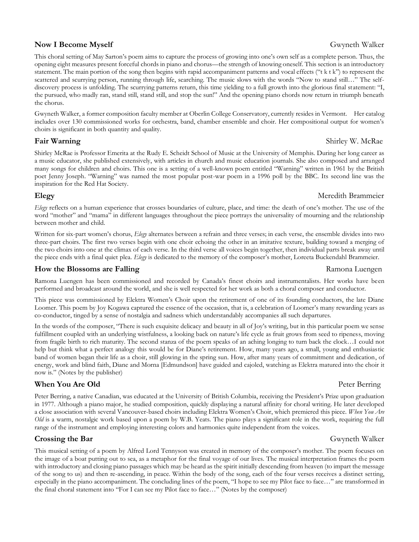## **Now I Become Myself** Gwyneth Walker

This choral setting of May Sarton's poem aims to capture the process of growing into one's own self as a complete person. Thus, the opening eight measures present forceful chords in piano and chorus—the strength of knowing oneself. This section is an introductory statement. The main portion of the song then begins with rapid accompaniment patterns and vocal effects ("t k t k") to represent the scattered and scurrying person, running through life, searching. The music slows with the words "Now to stand still…" The selfdiscovery process is unfolding. The scurrying patterns return, this time yielding to a full growth into the glorious final statement: "I, the pursued, who madly ran, stand still, stand still, and stop the sun!" And the opening piano chords now return in triumph beneath the chorus.

Gwyneth Walker, a former composition faculty member at Oberlin College Conservatory, currently resides in Vermont. Her catalog includes over 130 commissioned works for orchestra, band, chamber ensemble and choir. Her compositional output for women's choirs is significant in both quantity and quality.

Shirley McRae is Professor Emerita at the Rudy E. Scheidt School of Music at the University of Memphis. During her long career as a music educator, she published extensively, with articles in church and music education journals. She also composed and arranged many songs for children and choirs. This one is a setting of a well-known poem entitled "Warning" written in 1961 by the British poet Jenny Joseph. "Warning" was named the most popular post-war poem in a 1996 poll by the BBC. Its second line was the inspiration for the Red Hat Society.

## **Elegy** Meredith Brammeier

*Elegy* reflects on a human experience that crosses boundaries of culture, place, and time: the death of one's mother. The use of the word "mother" and "mama" in different languages throughout the piece portrays the universality of mourning and the relationship between mother and child.

Written for six-part women's chorus, *Elegy* alternates between a refrain and three verses; in each verse, the ensemble divides into two three-part choirs. The first two verses begin with one choir echoing the other in an imitative texture, building toward a merging of the two choirs into one at the climax of each verse. In the third verse all voices begin together, then individual parts break away until the piece ends with a final quiet plea. *Elegy* is dedicated to the memory of the composer's mother, Loreeta Buckendahl Brammeier.

## **How the Blossoms are Falling**  Ramona Luengen

Ramona Luengen has been commissioned and recorded by Canada's finest choirs and instrumentalists. Her works have been performed and broadcast around the world, and she is well respected for her work as both a choral composer and conductor.

This piece was commissioned by Elektra Women's Choir upon the retirement of one of its founding conductors, the late Diane Loomer. This poem by Joy Kogawa captured the essence of the occasion, that is, a celebration of Loomer's many rewarding years as co-conductor, tinged by a sense of nostalgia and sadness which understandably accompanies all such departures.

In the words of the composer, "There is such exquisite delicacy and beauty in all of Joy's writing, but in this particular poem we sense fulfillment coupled with an underlying wistfulness, a looking back on nature's life cycle as fruit grows from seed to ripeness, moving from fragile birth to rich maturity. The second stanza of the poem speaks of an aching longing to turn back the clock…I could not help but think what a perfect analogy this would be for Diane's retirement. How, many years ago, a small, young and enthusiastic band of women began their life as a choir, still glowing in the spring sun. How, after many years of commitment and dedication, of energy, work and blind faith, Diane and Morna [Edmundson] have guided and cajoled, watching as Elektra matured into the choir it now is." (Notes by the publisher)

## **When You Are Old Peter Berring**

Peter Berring, a native Canadian, was educated at the University of British Columbia, receiving the President's Prize upon graduation in 1977. Although a piano major, he studied composition, quickly displaying a natural affinity for choral writing. He later developed a close association with several Vancouver-based choirs including Elektra Women's Choir, which premiered this piece. *When You Are Old* is a warm, nostalgic work based upon a poem by W.B. Yeats. The piano plays a significant role in the work, requiring the full range of the instrument and employing interesting colors and harmonies quite independent from the voices.

## **Crossing the Bar** Gwyneth Walker

This musical setting of a poem by Alfred Lord Tennyson was created in memory of the composer's mother. The poem focuses on the image of a boat putting out to sea, as a metaphor for the final voyage of our lives. The musical interpretation frames the poem with introductory and closing piano passages which may be heard as the spirit initially descending from heaven (to impart the message of the song to us) and then re-ascending, in peace. Within the body of the song, each of the four verses receives a distinct setting, especially in the piano accompaniment. The concluding lines of the poem, "I hope to see my Pilot face to face…" are transformed in the final choral statement into "For I can see my Pilot face to face…" (Notes by the composer)

# **Fair Warning Shirley W. McRae**